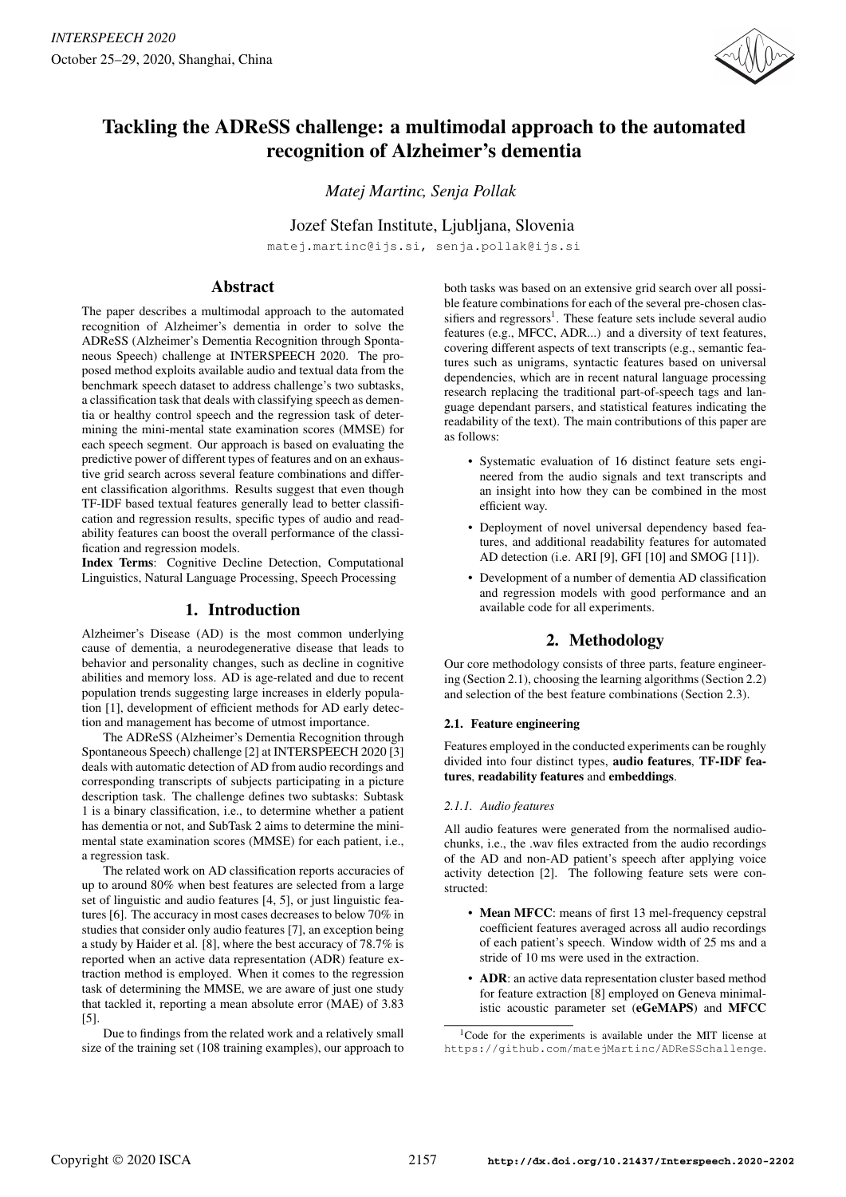

# Tackling the ADReSS challenge: a multimodal approach to the automated recognition of Alzheimer's dementia

*Matej Martinc, Senja Pollak*

Jozef Stefan Institute, Ljubljana, Slovenia

matej.martinc@ijs.si, senja.pollak@ijs.si

# Abstract

The paper describes a multimodal approach to the automated recognition of Alzheimer's dementia in order to solve the ADReSS (Alzheimer's Dementia Recognition through Spontaneous Speech) challenge at INTERSPEECH 2020. The proposed method exploits available audio and textual data from the benchmark speech dataset to address challenge's two subtasks, a classification task that deals with classifying speech as dementia or healthy control speech and the regression task of determining the mini-mental state examination scores (MMSE) for each speech segment. Our approach is based on evaluating the predictive power of different types of features and on an exhaustive grid search across several feature combinations and different classification algorithms. Results suggest that even though TF-IDF based textual features generally lead to better classification and regression results, specific types of audio and readability features can boost the overall performance of the classification and regression models.

Index Terms: Cognitive Decline Detection, Computational Linguistics, Natural Language Processing, Speech Processing

# 1. Introduction

Alzheimer's Disease (AD) is the most common underlying cause of dementia, a neurodegenerative disease that leads to behavior and personality changes, such as decline in cognitive abilities and memory loss. AD is age-related and due to recent population trends suggesting large increases in elderly population [1], development of efficient methods for AD early detection and management has become of utmost importance.

The ADReSS (Alzheimer's Dementia Recognition through Spontaneous Speech) challenge [2] at INTERSPEECH 2020 [3] deals with automatic detection of AD from audio recordings and corresponding transcripts of subjects participating in a picture description task. The challenge defines two subtasks: Subtask 1 is a binary classification, i.e., to determine whether a patient has dementia or not, and SubTask 2 aims to determine the minimental state examination scores (MMSE) for each patient, i.e., a regression task.

The related work on AD classification reports accuracies of up to around 80% when best features are selected from a large set of linguistic and audio features [4, 5], or just linguistic features [6]. The accuracy in most cases decreases to below 70% in studies that consider only audio features [7], an exception being a study by Haider et al. [8], where the best accuracy of 78.7% is reported when an active data representation (ADR) feature extraction method is employed. When it comes to the regression task of determining the MMSE, we are aware of just one study that tackled it, reporting a mean absolute error (MAE) of 3.83 [5].

Due to findings from the related work and a relatively small size of the training set (108 training examples), our approach to both tasks was based on an extensive grid search over all possible feature combinations for each of the several pre-chosen classifiers and regressors<sup>1</sup>. These feature sets include several audio features (e.g., MFCC, ADR...) and a diversity of text features, covering different aspects of text transcripts (e.g., semantic features such as unigrams, syntactic features based on universal dependencies, which are in recent natural language processing research replacing the traditional part-of-speech tags and language dependant parsers, and statistical features indicating the readability of the text). The main contributions of this paper are as follows:

- Systematic evaluation of 16 distinct feature sets engineered from the audio signals and text transcripts and an insight into how they can be combined in the most efficient way.
- Deployment of novel universal dependency based features, and additional readability features for automated AD detection (i.e. ARI [9], GFI [10] and SMOG [11]).
- Development of a number of dementia AD classification and regression models with good performance and an available code for all experiments.

# 2. Methodology

Our core methodology consists of three parts, feature engineering (Section 2.1), choosing the learning algorithms (Section 2.2) and selection of the best feature combinations (Section 2.3).

## 2.1. Feature engineering

Features employed in the conducted experiments can be roughly divided into four distinct types, audio features, TF-IDF features, readability features and embeddings.

# *2.1.1. Audio features*

All audio features were generated from the normalised audiochunks, i.e., the .wav files extracted from the audio recordings of the AD and non-AD patient's speech after applying voice activity detection [2]. The following feature sets were constructed:

- Mean MFCC: means of first 13 mel-frequency cepstral coefficient features averaged across all audio recordings of each patient's speech. Window width of 25 ms and a stride of 10 ms were used in the extraction.
- ADR: an active data representation cluster based method for feature extraction [8] employed on Geneva minimalistic acoustic parameter set (eGeMAPS) and MFCC

<sup>&</sup>lt;sup>1</sup>Code for the experiments is available under the MIT license at https://github.com/matejMartinc/ADReSSchallenge.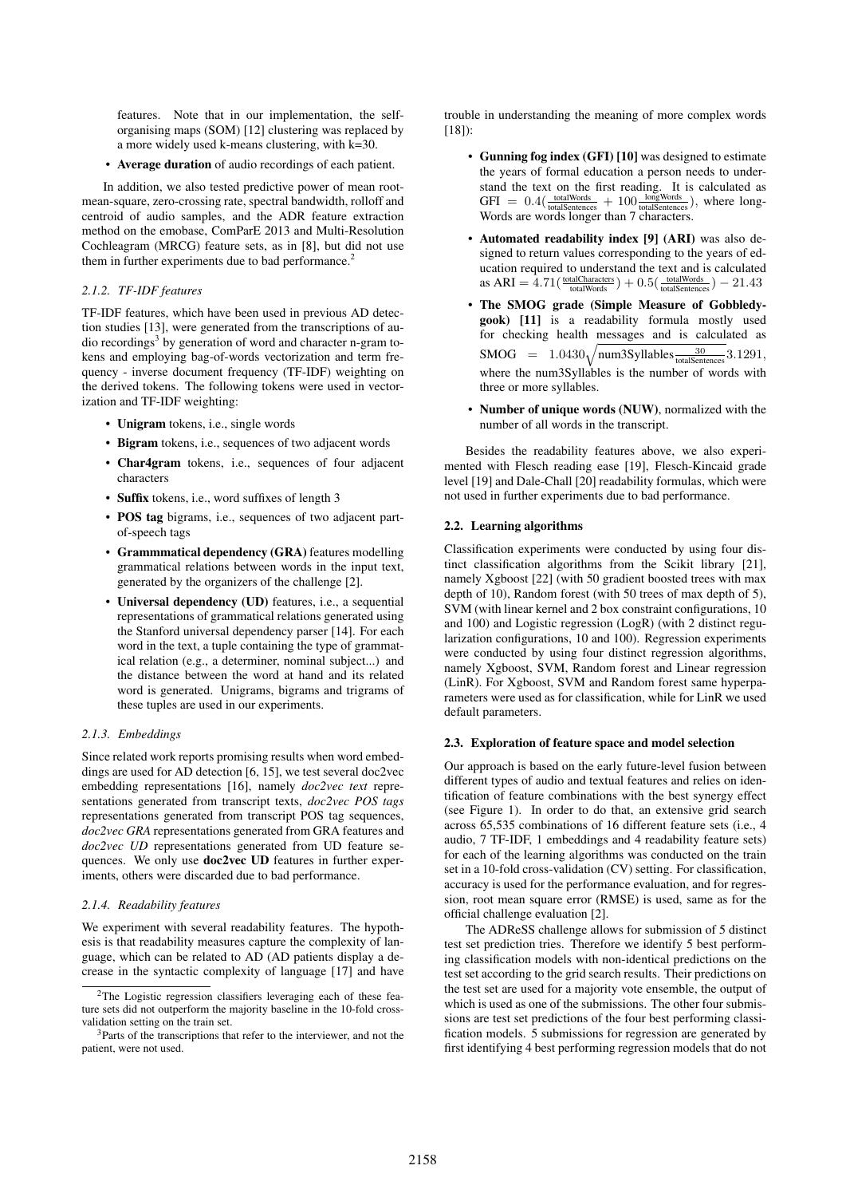features. Note that in our implementation, the selforganising maps (SOM) [12] clustering was replaced by a more widely used k-means clustering, with k=30.

• Average duration of audio recordings of each patient.

In addition, we also tested predictive power of mean rootmean-square, zero-crossing rate, spectral bandwidth, rolloff and centroid of audio samples, and the ADR feature extraction method on the emobase, ComParE 2013 and Multi-Resolution Cochleagram (MRCG) feature sets, as in [8], but did not use them in further experiments due to bad performance.<sup>2</sup>

#### *2.1.2. TF-IDF features*

TF-IDF features, which have been used in previous AD detection studies [13], were generated from the transcriptions of audio recordings<sup>3</sup> by generation of word and character n-gram tokens and employing bag-of-words vectorization and term frequency - inverse document frequency (TF-IDF) weighting on the derived tokens. The following tokens were used in vectorization and TF-IDF weighting:

- Unigram tokens, i.e., single words
- Bigram tokens, i.e., sequences of two adjacent words
- Char4gram tokens, i.e., sequences of four adjacent characters
- Suffix tokens, i.e., word suffixes of length 3
- POS tag bigrams, i.e., sequences of two adjacent partof-speech tags
- Grammmatical dependency (GRA) features modelling grammatical relations between words in the input text, generated by the organizers of the challenge [2].
- Universal dependency (UD) features, i.e., a sequential representations of grammatical relations generated using the Stanford universal dependency parser [14]. For each word in the text, a tuple containing the type of grammatical relation (e.g., a determiner, nominal subject...) and the distance between the word at hand and its related word is generated. Unigrams, bigrams and trigrams of these tuples are used in our experiments.

### *2.1.3. Embeddings*

Since related work reports promising results when word embeddings are used for AD detection [6, 15], we test several doc2vec embedding representations [16], namely *doc2vec text* representations generated from transcript texts, *doc2vec POS tags* representations generated from transcript POS tag sequences, *doc2vec GRA* representations generated from GRA features and *doc2vec UD* representations generated from UD feature sequences. We only use doc2vec UD features in further experiments, others were discarded due to bad performance.

#### *2.1.4. Readability features*

We experiment with several readability features. The hypothesis is that readability measures capture the complexity of language, which can be related to AD (AD patients display a decrease in the syntactic complexity of language [17] and have

trouble in understanding the meaning of more complex words [18]):

- Gunning fog index (GFI) [10] was designed to estimate the years of formal education a person needs to understand the text on the first reading. It is calculated as  $GFI = 0.4(\frac{\text{totalWords}}{\text{totalSentences}} + 100\frac{\text{longWords}}{\text{totalSentences}})$ , where long-Words are words longer than 7 characters.
- Automated readability index [9] (ARI) was also designed to return values corresponding to the years of education required to understand the text and is calculated as  $ARI = 4.71(\frac{\text{totalCharles}}{\text{totalWords}}) + 0.5(\frac{\text{totalWords}}{\text{totalSentences}}) - 21.43$
- The SMOG grade (Simple Measure of Gobbledygook) [11] is a readability formula mostly used for checking health messages and is calculated as  $\text{SMOG}$  = 1.0430 $\sqrt{\text{num3Syllabels}_{\text{totalSentences}}^{\frac{30}{30}}}\text{3.1291},$ where the num3Syllables is the number of words with three or more syllables.
- Number of unique words (NUW), normalized with the number of all words in the transcript.

Besides the readability features above, we also experimented with Flesch reading ease [19], Flesch-Kincaid grade level [19] and Dale-Chall [20] readability formulas, which were not used in further experiments due to bad performance.

#### 2.2. Learning algorithms

Classification experiments were conducted by using four distinct classification algorithms from the Scikit library [21], namely Xgboost [22] (with 50 gradient boosted trees with max depth of 10), Random forest (with 50 trees of max depth of 5), SVM (with linear kernel and 2 box constraint configurations, 10 and 100) and Logistic regression (LogR) (with 2 distinct regularization configurations, 10 and 100). Regression experiments were conducted by using four distinct regression algorithms, namely Xgboost, SVM, Random forest and Linear regression (LinR). For Xgboost, SVM and Random forest same hyperparameters were used as for classification, while for LinR we used default parameters.

#### 2.3. Exploration of feature space and model selection

Our approach is based on the early future-level fusion between different types of audio and textual features and relies on identification of feature combinations with the best synergy effect (see Figure 1). In order to do that, an extensive grid search across 65,535 combinations of 16 different feature sets (i.e., 4 audio, 7 TF-IDF, 1 embeddings and 4 readability feature sets) for each of the learning algorithms was conducted on the train set in a 10-fold cross-validation (CV) setting. For classification, accuracy is used for the performance evaluation, and for regression, root mean square error (RMSE) is used, same as for the official challenge evaluation [2].

The ADReSS challenge allows for submission of 5 distinct test set prediction tries. Therefore we identify 5 best performing classification models with non-identical predictions on the test set according to the grid search results. Their predictions on the test set are used for a majority vote ensemble, the output of which is used as one of the submissions. The other four submissions are test set predictions of the four best performing classification models. 5 submissions for regression are generated by first identifying 4 best performing regression models that do not

<sup>2</sup>The Logistic regression classifiers leveraging each of these feature sets did not outperform the majority baseline in the 10-fold crossvalidation setting on the train set.

<sup>&</sup>lt;sup>3</sup>Parts of the transcriptions that refer to the interviewer, and not the patient, were not used.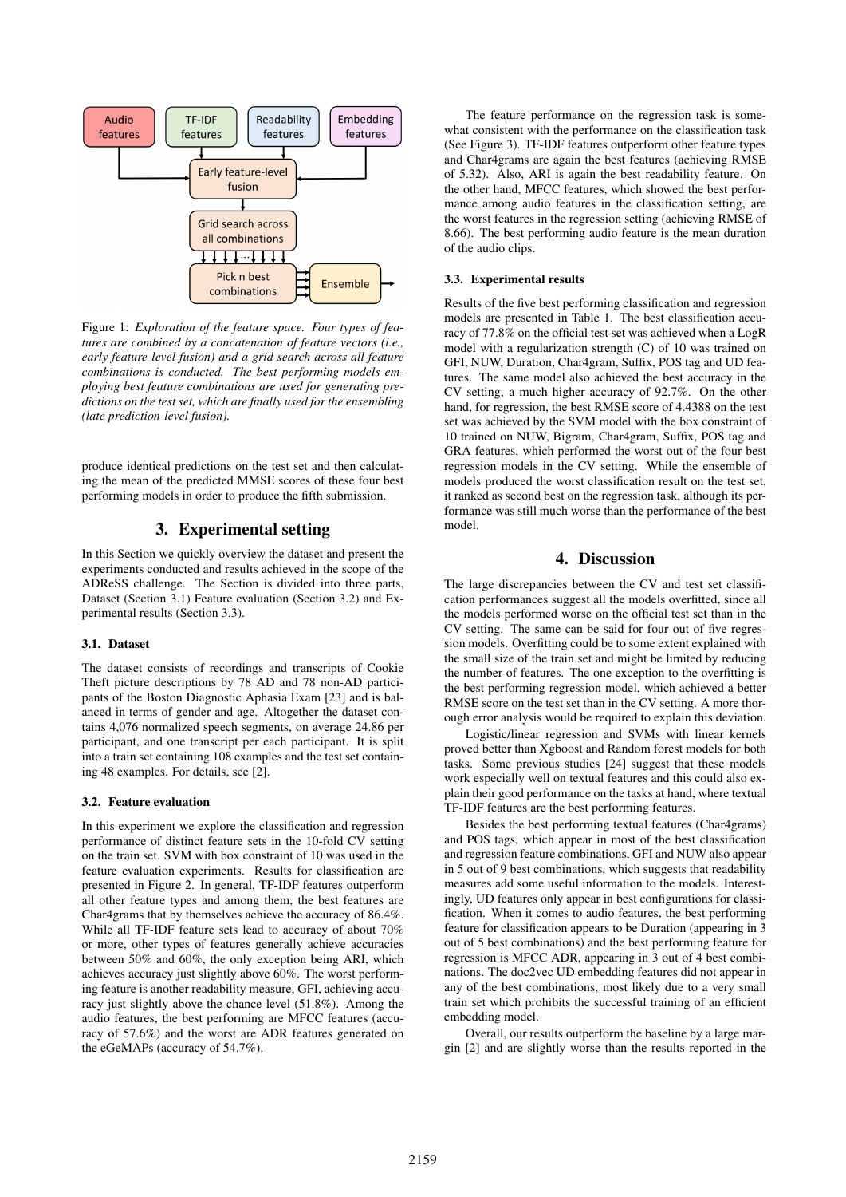

Figure 1: *Exploration of the feature space. Four types of features are combined by a concatenation of feature vectors (i.e., early feature-level fusion) and a grid search across all feature combinations is conducted. The best performing models employing best feature combinations are used for generating predictions on the test set, which are finally used for the ensembling (late prediction-level fusion).*

produce identical predictions on the test set and then calculating the mean of the predicted MMSE scores of these four best performing models in order to produce the fifth submission.

# 3. Experimental setting

In this Section we quickly overview the dataset and present the experiments conducted and results achieved in the scope of the ADReSS challenge. The Section is divided into three parts, Dataset (Section 3.1) Feature evaluation (Section 3.2) and Experimental results (Section 3.3).

### 3.1. Dataset

The dataset consists of recordings and transcripts of Cookie Theft picture descriptions by 78 AD and 78 non-AD participants of the Boston Diagnostic Aphasia Exam [23] and is balanced in terms of gender and age. Altogether the dataset contains 4,076 normalized speech segments, on average 24.86 per participant, and one transcript per each participant. It is split into a train set containing 108 examples and the test set containing 48 examples. For details, see [2].

#### 3.2. Feature evaluation

In this experiment we explore the classification and regression performance of distinct feature sets in the 10-fold CV setting on the train set. SVM with box constraint of 10 was used in the feature evaluation experiments. Results for classification are presented in Figure 2. In general, TF-IDF features outperform all other feature types and among them, the best features are Char4grams that by themselves achieve the accuracy of 86.4%. While all TF-IDF feature sets lead to accuracy of about 70% or more, other types of features generally achieve accuracies between 50% and 60%, the only exception being ARI, which achieves accuracy just slightly above 60%. The worst performing feature is another readability measure, GFI, achieving accuracy just slightly above the chance level (51.8%). Among the audio features, the best performing are MFCC features (accuracy of 57.6%) and the worst are ADR features generated on the eGeMAPs (accuracy of 54.7%).

The feature performance on the regression task is somewhat consistent with the performance on the classification task (See Figure 3). TF-IDF features outperform other feature types and Char4grams are again the best features (achieving RMSE of 5.32). Also, ARI is again the best readability feature. On the other hand, MFCC features, which showed the best performance among audio features in the classification setting, are the worst features in the regression setting (achieving RMSE of 8.66). The best performing audio feature is the mean duration of the audio clips.

### 3.3. Experimental results

Results of the five best performing classification and regression models are presented in Table 1. The best classification accuracy of 77.8% on the official test set was achieved when a LogR model with a regularization strength (C) of 10 was trained on GFI, NUW, Duration, Char4gram, Suffix, POS tag and UD features. The same model also achieved the best accuracy in the CV setting, a much higher accuracy of 92.7%. On the other hand, for regression, the best RMSE score of 4.4388 on the test set was achieved by the SVM model with the box constraint of 10 trained on NUW, Bigram, Char4gram, Suffix, POS tag and GRA features, which performed the worst out of the four best regression models in the CV setting. While the ensemble of models produced the worst classification result on the test set, it ranked as second best on the regression task, although its performance was still much worse than the performance of the best model.

# 4. Discussion

The large discrepancies between the CV and test set classification performances suggest all the models overfitted, since all the models performed worse on the official test set than in the CV setting. The same can be said for four out of five regression models. Overfitting could be to some extent explained with the small size of the train set and might be limited by reducing the number of features. The one exception to the overfitting is the best performing regression model, which achieved a better RMSE score on the test set than in the CV setting. A more thorough error analysis would be required to explain this deviation.

Logistic/linear regression and SVMs with linear kernels proved better than Xgboost and Random forest models for both tasks. Some previous studies [24] suggest that these models work especially well on textual features and this could also explain their good performance on the tasks at hand, where textual TF-IDF features are the best performing features.

Besides the best performing textual features (Char4grams) and POS tags, which appear in most of the best classification and regression feature combinations, GFI and NUW also appear in 5 out of 9 best combinations, which suggests that readability measures add some useful information to the models. Interestingly, UD features only appear in best configurations for classification. When it comes to audio features, the best performing feature for classification appears to be Duration (appearing in 3 out of 5 best combinations) and the best performing feature for regression is MFCC ADR, appearing in 3 out of 4 best combinations. The doc2vec UD embedding features did not appear in any of the best combinations, most likely due to a very small train set which prohibits the successful training of an efficient embedding model.

Overall, our results outperform the baseline by a large margin [2] and are slightly worse than the results reported in the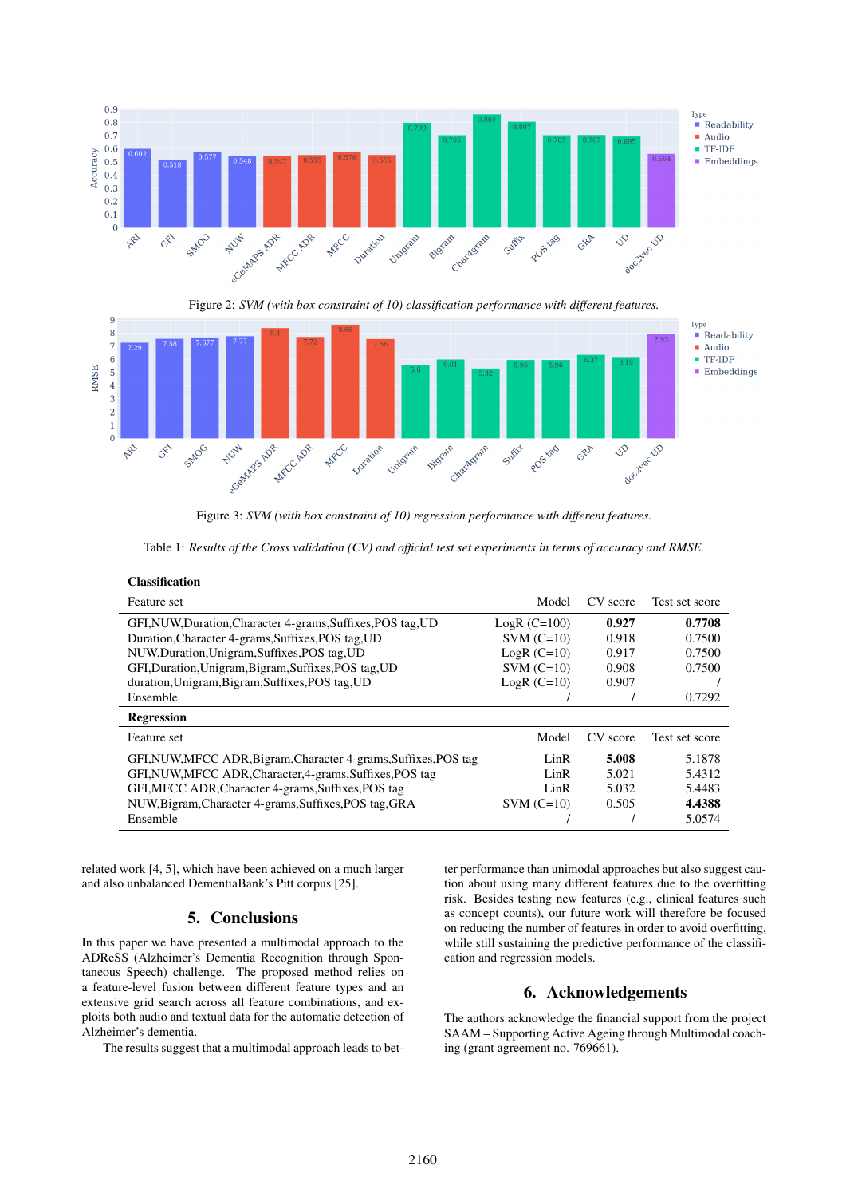

Figure 2: *SVM (with box constraint of 10) classification performance with different features.*



Figure 3: *SVM (with box constraint of 10) regression performance with different features.*

Table 1: *Results of the Cross validation (CV) and official test set experiments in terms of accuracy and RMSE.*

| <b>Classification</b>                                            |                |          |                |
|------------------------------------------------------------------|----------------|----------|----------------|
| Feature set                                                      | Model          | CV score | Test set score |
| GFI, NUW, Duration, Character 4-grams, Suffixes, POS tag, UD     | $LogR$ (C=100) | 0.927    | 0.7708         |
| Duration, Character 4-grams, Suffixes, POS tag, UD               | $SVM (C=10)$   | 0.918    | 0.7500         |
| NUW, Duration, Unigram, Suffixes, POS tag, UD                    | $LogR (C=10)$  | 0.917    | 0.7500         |
| GFI, Duration, Unigram, Bigram, Suffixes, POS tag, UD            | $SVM (C=10)$   | 0.908    | 0.7500         |
| duration, Unigram, Bigram, Suffixes, POS tag, UD                 | $LogR$ (C=10)  | 0.907    |                |
| Ensemble                                                         |                |          | 0.7292         |
| <b>Regression</b>                                                |                |          |                |
| Feature set                                                      | Model          | CV score | Test set score |
| GFI, NUW, MFCC ADR, Bigram, Character 4-grams, Suffixes, POS tag | LinR           | 5.008    | 5.1878         |
| GFI, NUW, MFCC ADR, Character, 4-grams, Suffixes, POS tag        | LinR           | 5.021    | 5.4312         |
| GFI, MFCC ADR, Character 4-grams, Suffixes, POS tag              | LinR           | 5.032    | 5.4483         |
| NUW, Bigram, Character 4-grams, Suffixes, POS tag, GRA           | $SVM$ (C=10)   | 0.505    | 4.4388         |
| Ensemble                                                         |                |          | 5.0574         |

related work [4, 5], which have been achieved on a much larger and also unbalanced DementiaBank's Pitt corpus [25].

# 5. Conclusions

In this paper we have presented a multimodal approach to the ADReSS (Alzheimer's Dementia Recognition through Spontaneous Speech) challenge. The proposed method relies on a feature-level fusion between different feature types and an extensive grid search across all feature combinations, and exploits both audio and textual data for the automatic detection of Alzheimer's dementia.

The results suggest that a multimodal approach leads to bet-

ter performance than unimodal approaches but also suggest caution about using many different features due to the overfitting risk. Besides testing new features (e.g., clinical features such as concept counts), our future work will therefore be focused on reducing the number of features in order to avoid overfitting, while still sustaining the predictive performance of the classification and regression models.

# 6. Acknowledgements

The authors acknowledge the financial support from the project SAAM – Supporting Active Ageing through Multimodal coaching (grant agreement no. 769661).